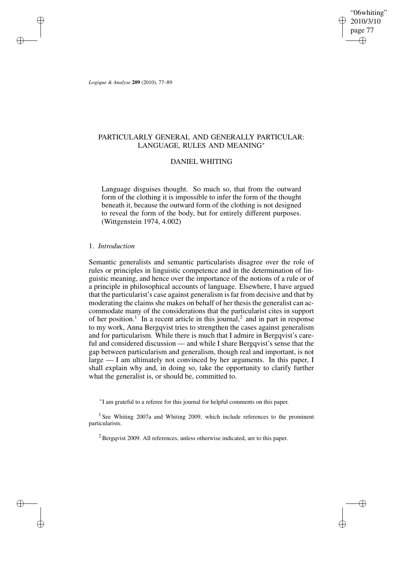"06whiting" 2010/3/10 page 77 ✐ ✐

✐

✐

*Logique & Analyse* **209** (2010), 77–89

✐

✐

✐

✐

# PARTICULARLY GENERAL AND GENERALLY PARTICULAR: LANGUAGE, RULES AND MEANING<sup>∗</sup>

# DANIEL WHITING

Language disguises thought. So much so, that from the outward form of the clothing it is impossible to infer the form of the thought beneath it, because the outward form of the clothing is not designed to reveal the form of the body, but for entirely different purposes. (Wittgenstein 1974, 4.002)

#### 1. *Introduction*

Semantic generalists and semantic particularists disagree over the role of rules or principles in linguistic competence and in the determination of linguistic meaning, and hence over the importance of the notions of a rule or of a principle in philosophical accounts of language. Elsewhere, I have argued that the particularist's case against generalism is far from decisive and that by moderating the claims she makes on behalf of her thesis the generalist can accommodate many of the considerations that the particularist cites in support of her position.<sup>1</sup> In a recent article in this journal,<sup>2</sup> and in part in response to my work, Anna Bergqvist tries to strengthen the cases against generalism and for particularism. While there is much that I admire in Bergqvist's careful and considered discussion — and while I share Bergqvist's sense that the gap between particularism and generalism, though real and important, is not large — I am ultimately not convinced by her arguments. In this paper, I shall explain why and, in doing so, take the opportunity to clarify further what the generalist is, or should be, committed to.

∗ I am grateful to a referee for this journal for helpful comments on this paper.

<sup>1</sup> See Whiting 2007a and Whiting 2009, which include references to the prominent particularists.

 $2$  Bergqvist 2009. All references, unless otherwise indicated, are to this paper.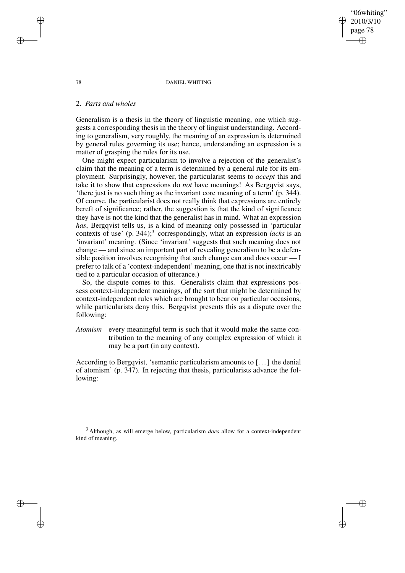78 DANIEL WHITING

"06whiting" 2010/3/10 page 78

✐

✐

✐

✐

### 2. *Parts and wholes*

Generalism is a thesis in the theory of linguistic meaning, one which suggests a corresponding thesis in the theory of linguist understanding. According to generalism, very roughly, the meaning of an expression is determined by general rules governing its use; hence, understanding an expression is a matter of grasping the rules for its use.

One might expect particularism to involve a rejection of the generalist's claim that the meaning of a term is determined by a general rule for its employment. Surprisingly, however, the particularist seems to *accept* this and take it to show that expressions do *not* have meanings! As Bergqvist says, 'there just is no such thing as the invariant core meaning of a term' (p. 344). Of course, the particularist does not really think that expressions are entirely bereft of significance; rather, the suggestion is that the kind of significance they have is not the kind that the generalist has in mind. What an expression *has*, Bergqvist tells us, is a kind of meaning only possessed in 'particular contexts of use' (p. 344);<sup>3</sup> correspondingly, what an expression *lacks* is an 'invariant' meaning. (Since 'invariant' suggests that such meaning does not change — and since an important part of revealing generalism to be a defensible position involves recognising that such change can and does occur — I prefer to talk of a 'context-independent' meaning, one that is not inextricably tied to a particular occasion of utterance.)

So, the dispute comes to this. Generalists claim that expressions possess context-independent meanings, of the sort that might be determined by context-independent rules which are brought to bear on particular occasions, while particularists deny this. Bergqvist presents this as a dispute over the following:

*Atomism* every meaningful term is such that it would make the same contribution to the meaning of any complex expression of which it may be a part (in any context).

According to Bergqvist, 'semantic particularism amounts to [...] the denial of atomism' (p. 347). In rejecting that thesis, particularists advance the following:

<sup>3</sup> Although, as will emerge below, particularism *does* allow for a context-independent kind of meaning.

✐

✐

✐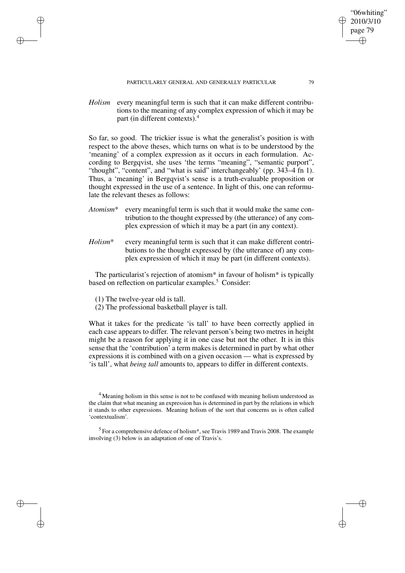PARTICULARLY GENERAL AND GENERALLY PARTICULAR 79

*Holism* every meaningful term is such that it can make different contributions to the meaning of any complex expression of which it may be part (in different contexts).<sup>4</sup>

So far, so good. The trickier issue is what the generalist's position is with respect to the above theses, which turns on what is to be understood by the 'meaning' of a complex expression as it occurs in each formulation. According to Bergqvist, she uses 'the terms "meaning", "semantic purport", "thought", "content", and "what is said" interchangeably' (pp. 343–4 fn 1). Thus, a 'meaning' in Bergqvist's sense is a truth-evaluable proposition or thought expressed in the use of a sentence. In light of this, one can reformulate the relevant theses as follows:

- *Atomism*\* every meaningful term is such that it would make the same contribution to the thought expressed by (the utterance) of any complex expression of which it may be a part (in any context).
- *Holism*\* every meaningful term is such that it can make different contributions to the thought expressed by (the utterance of) any complex expression of which it may be part (in different contexts).

The particularist's rejection of atomism\* in favour of holism\* is typically based on reflection on particular examples.<sup>5</sup> Consider:

(1) The twelve-year old is tall.

✐

✐

✐

✐

(2) The professional basketball player is tall.

What it takes for the predicate 'is tall' to have been correctly applied in each case appears to differ. The relevant person's being two metres in height might be a reason for applying it in one case but not the other. It is in this sense that the 'contribution' a term makes is determined in part by what other expressions it is combined with on a given occasion — what is expressed by 'is tall', what *being tall* amounts to, appears to differ in different contexts.

"06whiting" 2010/3/10 page 79

✐

✐

✐

<sup>&</sup>lt;sup>4</sup> Meaning holism in this sense is not to be confused with meaning holism understood as the claim that what meaning an expression has is determined in part by the relations in which it stands to other expressions. Meaning holism of the sort that concerns us is often called 'contextualism'.

<sup>&</sup>lt;sup>5</sup> For a comprehensive defence of holism<sup>\*</sup>, see Travis 1989 and Travis 2008. The example involving (3) below is an adaptation of one of Travis's.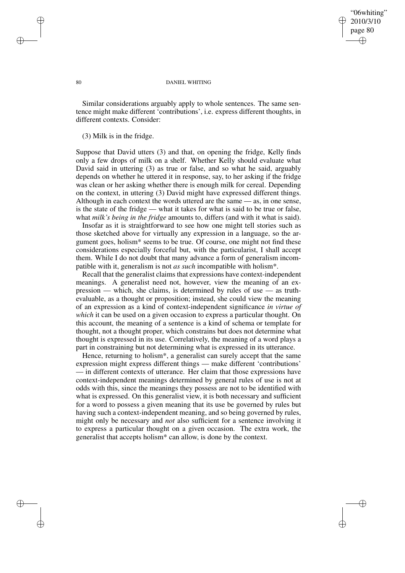### "06whiting" 2010/3/10 page 80 ✐ ✐

✐

✐

#### 80 DANIEL WHITING

Similar considerations arguably apply to whole sentences. The same sentence might make different 'contributions', i.e. express different thoughts, in different contexts. Consider:

(3) Milk is in the fridge.

Suppose that David utters (3) and that, on opening the fridge, Kelly finds only a few drops of milk on a shelf. Whether Kelly should evaluate what David said in uttering (3) as true or false, and so what he said, arguably depends on whether he uttered it in response, say, to her asking if the fridge was clean or her asking whether there is enough milk for cereal. Depending on the context, in uttering (3) David might have expressed different things. Although in each context the words uttered are the same — as, in one sense, is the state of the fridge — what it takes for what is said to be true or false, what *milk's being in the fridge* amounts to, differs (and with it what is said).

Insofar as it is straightforward to see how one might tell stories such as those sketched above for virtually any expression in a language, so the argument goes, holism\* seems to be true. Of course, one might not find these considerations especially forceful but, with the particularist, I shall accept them. While I do not doubt that many advance a form of generalism incompatible with it, generalism is not *as such* incompatible with holism\*.

Recall that the generalist claims that expressions have context-independent meanings. A generalist need not, however, view the meaning of an expression — which, she claims, is determined by rules of use — as truthevaluable, as a thought or proposition; instead, she could view the meaning of an expression as a kind of context-independent significance *in virtue of which* it can be used on a given occasion to express a particular thought. On this account, the meaning of a sentence is a kind of schema or template for thought, not a thought proper, which constrains but does not determine what thought is expressed in its use. Correlatively, the meaning of a word plays a part in constraining but not determining what is expressed in its utterance.

Hence, returning to holism\*, a generalist can surely accept that the same expression might express different things — make different 'contributions' — in different contexts of utterance. Her claim that those expressions have context-independent meanings determined by general rules of use is not at odds with this, since the meanings they possess are not to be identified with what is expressed. On this generalist view, it is both necessary and sufficient for a word to possess a given meaning that its use be governed by rules but having such a context-independent meaning, and so being governed by rules, might only be necessary and *not* also sufficient for a sentence involving it to express a particular thought on a given occasion. The extra work, the generalist that accepts holism\* can allow, is done by the context.

✐

✐

✐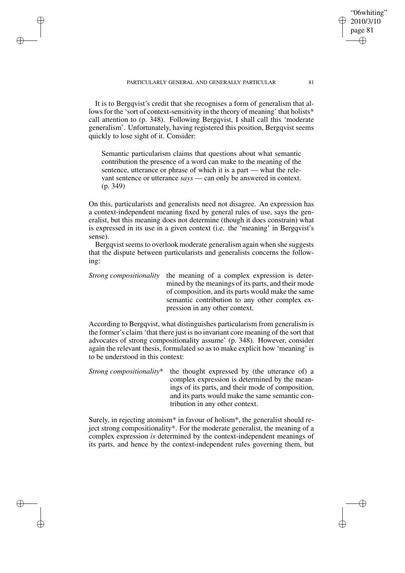PARTICULARLY GENERAL AND GENERALLY PARTICULAR 81

✐

✐

✐

✐

It is to Bergqvist's credit that she recognises a form of generalism that allows for the 'sort of context-sensitivity in the theory of meaning' that holists\* call attention to (p. 348). Following Bergqvist, I shall call this 'moderate generalism'. Unfortunately, having registered this position, Bergqvist seems quickly to lose sight of it. Consider:

Semantic particularism claims that questions about what semantic contribution the presence of a word can make to the meaning of the sentence, utterance or phrase of which it is a part — what the relevant sentence or utterance *says* — can only be answered in context. (p. 349)

On this, particularists and generalists need not disagree. An expression has a context-independent meaning fixed by general rules of use, says the generalist, but this meaning does not determine (though it does constrain) what is expressed in its use in a given context (i.e. the 'meaning' in Bergqvist's sense).

Bergqvist seems to overlook moderate generalism again when she suggests that the dispute between particularists and generalists concerns the following:

*Strong compositionality* the meaning of a complex expression is determined by the meanings of its parts, and their mode of composition, and its parts would make the same semantic contribution to any other complex expression in any other context.

According to Bergqvist, what distinguishes particularism from generalism is the former's claim 'that there just is no invariant core meaning of the sort that advocates of strong compositionality assume' (p. 348). However, consider again the relevant thesis, formulated so as to make explicit how 'meaning' is to be understood in this context:

*Strong compositionality*<sup>\*</sup> the thought expressed by (the utterance of) a complex expression is determined by the meanings of its parts, and their mode of composition, and its parts would make the same semantic contribution in any other context.

Surely, in rejecting atomism<sup>\*</sup> in favour of holism<sup>\*</sup>, the generalist should reject strong compositionality\*. For the moderate generalist, the meaning of a complex expression *is* determined by the context-independent meanings of its parts, and hence by the context-independent rules governing them, but



"06whiting" 2010/3/10 page 81

✐

✐

✐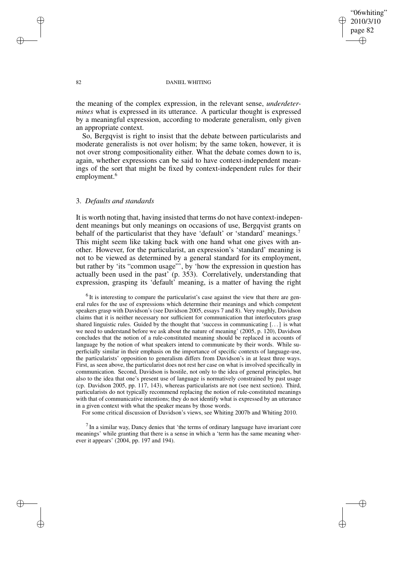"06whiting" 2010/3/10 page 82 ✐ ✐

✐

✐

#### 82 DANIEL WHITING

the meaning of the complex expression, in the relevant sense, *underdetermines* what is expressed in its utterance. A particular thought is expressed by a meaningful expression, according to moderate generalism, only given an appropriate context.

So, Bergqvist is right to insist that the debate between particularists and moderate generalists is not over holism; by the same token, however, it is not over strong compositionality either. What the debate comes down to is, again, whether expressions can be said to have context-independent meanings of the sort that might be fixed by context-independent rules for their employment.<sup>6</sup>

# 3. *Defaults and standards*

It is worth noting that, having insisted that terms do not have context-independent meanings but only meanings on occasions of use, Bergqvist grants on behalf of the particularist that they have 'default' or 'standard' meanings.<sup>7</sup> This might seem like taking back with one hand what one gives with another. However, for the particularist, an expression's 'standard' meaning is not to be viewed as determined by a general standard for its employment, but rather by 'its "common usage"', by 'how the expression in question has actually been used in the past' (p. 353). Correlatively, understanding that expression, grasping its 'default' meaning, is a matter of having the right

 $<sup>6</sup>$  It is interesting to compare the particularist's case against the view that there are gen-</sup> eral rules for the use of expressions which determine their meanings and which competent speakers grasp with Davidson's (see Davidson 2005, essays 7 and 8). Very roughly, Davidson claims that it is neither necessary nor sufficient for communication that interlocutors grasp shared linguistic rules. Guided by the thought that 'success in communicating  $[\dots]$  is what we need to understand before we ask about the nature of meaning' (2005, p. 120), Davidson concludes that the notion of a rule-constituted meaning should be replaced in accounts of language by the notion of what speakers intend to communicate by their words. While superficially similar in their emphasis on the importance of specific contexts of language-use, the particularists' opposition to generalism differs from Davidson's in at least three ways. First, as seen above, the particularist does not rest her case on what is involved specifically in communication. Second, Davidson is hostile, not only to the idea of general principles, but also to the idea that one's present use of language is normatively constrained by past usage (cp. Davidson 2005, pp. 117, 143), whereas particularists are not (see next section). Third, particularists do not typically recommend replacing the notion of rule-constituted meanings with that of communicative intentions; they do not identify what is expressed by an utterance in a given context with what the speaker means by those words.

For some critical discussion of Davidson's views, see Whiting 2007b and Whiting 2010.

 $<sup>7</sup>$  In a similar way, Dancy denies that 'the terms of ordinary language have invariant core</sup> meanings' while granting that there is a sense in which a 'term has the same meaning wherever it appears' (2004, pp. 197 and 194).

✐

✐

✐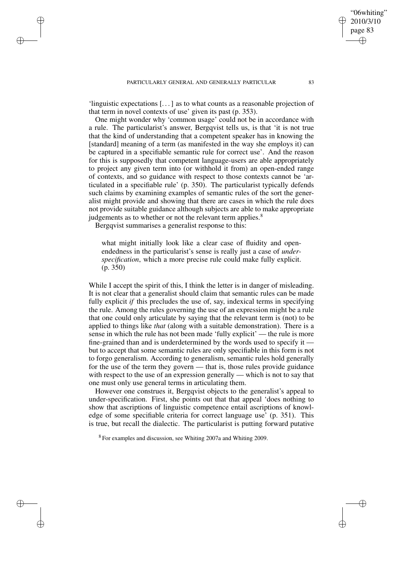'linguistic expectations [. . .] as to what counts as a reasonable projection of that term in novel contexts of use' given its past (p. 353).

One might wonder why 'common usage' could not be in accordance with a rule. The particularist's answer, Bergqvist tells us, is that 'it is not true that the kind of understanding that a competent speaker has in knowing the [standard] meaning of a term (as manifested in the way she employs it) can be captured in a specifiable semantic rule for correct use'. And the reason for this is supposedly that competent language-users are able appropriately to project any given term into (or withhold it from) an open-ended range of contexts, and so guidance with respect to those contexts cannot be 'articulated in a specifiable rule' (p. 350). The particularist typically defends such claims by examining examples of semantic rules of the sort the generalist might provide and showing that there are cases in which the rule does not provide suitable guidance although subjects are able to make appropriate judgements as to whether or not the relevant term applies.<sup>8</sup>

Bergqvist summarises a generalist response to this:

✐

✐

✐

✐

what might initially look like a clear case of fluidity and openendedness in the particularist's sense is really just a case of *underspecification*, which a more precise rule could make fully explicit. (p. 350)

While I accept the spirit of this, I think the letter is in danger of misleading. It is not clear that a generalist should claim that semantic rules can be made fully explicit *if* this precludes the use of, say, indexical terms in specifying the rule. Among the rules governing the use of an expression might be a rule that one could only articulate by saying that the relevant term is (not) to be applied to things like *that* (along with a suitable demonstration). There is a sense in which the rule has not been made 'fully explicit' — the rule is more fine-grained than and is underdetermined by the words used to specify it but to accept that some semantic rules are only specifiable in this form is not to forgo generalism. According to generalism, semantic rules hold generally for the use of the term they govern — that is, those rules provide guidance with respect to the use of an expression generally — which is not to say that one must only use general terms in articulating them.

However one construes it, Bergqvist objects to the generalist's appeal to under-specification. First, she points out that that appeal 'does nothing to show that ascriptions of linguistic competence entail ascriptions of knowledge of some specifiable criteria for correct language use' (p. 351). This is true, but recall the dialectic. The particularist is putting forward putative

<sup>8</sup> For examples and discussion, see Whiting 2007a and Whiting 2009.

"06whiting" 2010/3/10 page 83

✐

✐

✐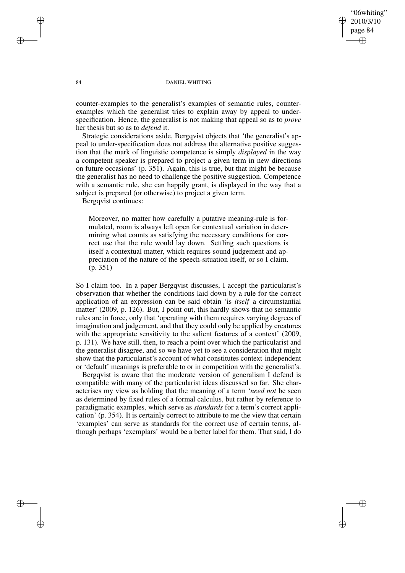"06whiting" 2010/3/10 page 84 ✐ ✐

✐

✐

#### 84 DANIEL WHITING

counter-examples to the generalist's examples of semantic rules, counterexamples which the generalist tries to explain away by appeal to underspecification. Hence, the generalist is not making that appeal so as to *prove* her thesis but so as to *defend* it.

Strategic considerations aside, Bergqvist objects that 'the generalist's appeal to under-specification does not address the alternative positive suggestion that the mark of linguistic competence is simply *displayed* in the way a competent speaker is prepared to project a given term in new directions on future occasions' (p. 351). Again, this is true, but that might be because the generalist has no need to challenge the positive suggestion. Competence with a semantic rule, she can happily grant, is displayed in the way that a subject is prepared (or otherwise) to project a given term.

Bergqvist continues:

Moreover, no matter how carefully a putative meaning-rule is formulated, room is always left open for contextual variation in determining what counts as satisfying the necessary conditions for correct use that the rule would lay down. Settling such questions is itself a contextual matter, which requires sound judgement and appreciation of the nature of the speech-situation itself, or so I claim. (p. 351)

So I claim too. In a paper Bergqvist discusses, I accept the particularist's observation that whether the conditions laid down by a rule for the correct application of an expression can be said obtain 'is *itself* a circumstantial matter' (2009, p. 126). But, I point out, this hardly shows that no semantic rules are in force, only that 'operating with them requires varying degrees of imagination and judgement, and that they could only be applied by creatures with the appropriate sensitivity to the salient features of a context' (2009, p. 131). We have still, then, to reach a point over which the particularist and the generalist disagree, and so we have yet to see a consideration that might show that the particularist's account of what constitutes context-independent or 'default' meanings is preferable to or in competition with the generalist's.

Bergqvist is aware that the moderate version of generalism I defend is compatible with many of the particularist ideas discussed so far. She characterises my view as holding that the meaning of a term '*need not* be seen as determined by fixed rules of a formal calculus, but rather by reference to paradigmatic examples, which serve as *standards* for a term's correct application' (p. 354). It is certainly correct to attribute to me the view that certain 'examples' can serve as standards for the correct use of certain terms, although perhaps 'exemplars' would be a better label for them. That said, I do

✐

✐

✐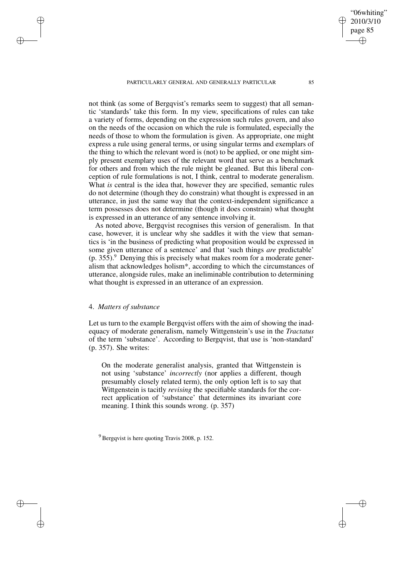PARTICULARLY GENERAL AND GENERALLY PARTICULAR 85

not think (as some of Bergqvist's remarks seem to suggest) that all semantic 'standards' take this form. In my view, specifications of rules can take a variety of forms, depending on the expression such rules govern, and also on the needs of the occasion on which the rule is formulated, especially the needs of those to whom the formulation is given. As appropriate, one might express a rule using general terms, or using singular terms and exemplars of the thing to which the relevant word is (not) to be applied, or one might simply present exemplary uses of the relevant word that serve as a benchmark for others and from which the rule might be gleaned. But this liberal conception of rule formulations is not, I think, central to moderate generalism. What *is* central is the idea that, however they are specified, semantic rules do not determine (though they do constrain) what thought is expressed in an utterance, in just the same way that the context-independent significance a term possesses does not determine (though it does constrain) what thought is expressed in an utterance of any sentence involving it.

As noted above, Bergqvist recognises this version of generalism. In that case, however, it is unclear why she saddles it with the view that semantics is 'in the business of predicting what proposition would be expressed in some given utterance of a sentence' and that 'such things *are* predictable'  $(p. 355)$ .<sup>9</sup> Denying this is precisely what makes room for a moderate generalism that acknowledges holism\*, according to which the circumstances of utterance, alongside rules, make an ineliminable contribution to determining what thought is expressed in an utterance of an expression.

#### 4. *Matters of substance*

✐

✐

✐

✐

Let us turn to the example Bergqvist offers with the aim of showing the inadequacy of moderate generalism, namely Wittgenstein's use in the *Tractatus* of the term 'substance'. According to Bergqvist, that use is 'non-standard' (p. 357). She writes:

On the moderate generalist analysis, granted that Wittgenstein is not using 'substance' *incorrectly* (nor applies a different, though presumably closely related term), the only option left is to say that Wittgenstein is tacitly *revising* the specifiable standards for the correct application of 'substance' that determines its invariant core meaning. I think this sounds wrong. (p. 357)

 $9^9$  Bergqvist is here quoting Travis 2008, p. 152.

"06whiting" 2010/3/10 page 85

✐

✐

✐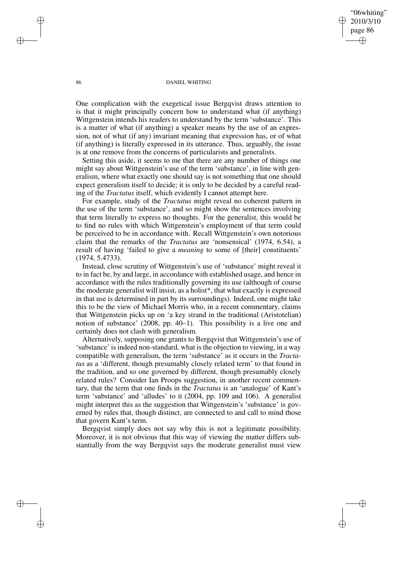"06whiting" 2010/3/10 page 86 ✐ ✐

✐

✐

#### 86 DANIEL WHITING

One complication with the exegetical issue Bergqvist draws attention to is that it might principally concern how to understand what (if anything) Wittgenstein intends his readers to understand by the term 'substance'. This is a matter of what (if anything) a speaker means by the use of an expression, not of what (if any) invariant meaning that expression has, or of what (if anything) is literally expressed in its utterance. Thus, arguably, the issue is at one remove from the concerns of particularists and generalists.

Setting this aside, it seems to me that there are any number of things one might say about Wittgenstein's use of the term 'substance', in line with generalism, where what exactly one should say is not something that one should expect generalism itself to decide; it is only to be decided by a careful reading of the *Tractatus* itself, which evidently I cannot attempt here.

For example, study of the *Tractatus* might reveal no coherent pattern in the use of the term 'substance', and so might show the sentences involving that term literally to express no thoughts. For the generalist, this would be to find no rules with which Wittgenstein's employment of that term could be perceived to be in accordance with. Recall Wittgenstein's own notorious claim that the remarks of the *Tractatus* are 'nonsensical' (1974, 6.54), a result of having 'failed to give a *meaning* to some of [their] constituents' (1974, 5.4733).

Instead, close scrutiny of Wittgenstein's use of 'substance' might reveal it to in fact be, by and large, in accordance with established usage, and hence in accordance with the rules traditionally governing its use (although of course the moderate generalist will insist, as a holist\*, that what exactly is expressed in that use is determined in part by its surroundings). Indeed, one might take this to be the view of Michael Morris who, in a recent commentary, claims that Wittgenstein picks up on 'a key strand in the traditional (Aristotelian) notion of substance' (2008, pp. 40–1). This possibility is a live one and certainly does not clash with generalism.

Alternatively, supposing one grants to Bergqvist that Wittgenstein's use of 'substance' is indeed non-standard, what is the objection to viewing, in a way compatible with generalism, the term 'substance' as it occurs in the *Tractatus* as a 'different, though presumably closely related term' to that found in the tradition, and so one governed by different, though presumably closely related rules? Consider Ian Proops suggestion, in another recent commentary, that the term that one finds in the *Tractatus* is an 'analogue' of Kant's term 'substance' and 'alludes' to it (2004, pp. 109 and 106). A generalist might interpret this as the suggestion that Wittgenstein's 'substance' is governed by rules that, though distinct, are connected to and call to mind those that govern Kant's term.

Bergqvist simply does not say why this is not a legitimate possibility. Moreover, it is not obvious that this way of viewing the matter differs substantially from the way Bergqvist says the moderate generalist must view

✐

✐

✐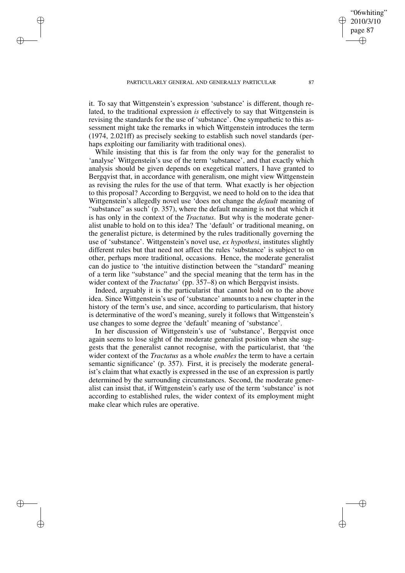✐

✐

✐

✐

it. To say that Wittgenstein's expression 'substance' is different, though related, to the traditional expression *is* effectively to say that Wittgenstein is revising the standards for the use of 'substance'. One sympathetic to this assessment might take the remarks in which Wittgenstein introduces the term (1974, 2.021ff) as precisely seeking to establish such novel standards (perhaps exploiting our familiarity with traditional ones).

While insisting that this is far from the only way for the generalist to 'analyse' Wittgenstein's use of the term 'substance', and that exactly which analysis should be given depends on exegetical matters, I have granted to Bergqvist that, in accordance with generalism, one might view Wittgenstein as revising the rules for the use of that term. What exactly is her objection to this proposal? According to Bergqvist, we need to hold on to the idea that Wittgenstein's allegedly novel use 'does not change the *default* meaning of "substance" as such' (p. 357), where the default meaning is not that which it is has only in the context of the *Tractatus*. But why is the moderate generalist unable to hold on to this idea? The 'default' or traditional meaning, on the generalist picture, is determined by the rules traditionally governing the use of 'substance'. Wittgenstein's novel use, *ex hypothesi*, institutes slightly different rules but that need not affect the rules 'substance' is subject to on other, perhaps more traditional, occasions. Hence, the moderate generalist can do justice to 'the intuitive distinction between the "standard" meaning of a term like "substance" and the special meaning that the term has in the wider context of the *Tractatus*' (pp. 357–8) on which Bergqvist insists.

Indeed, arguably it is the particularist that cannot hold on to the above idea. Since Wittgenstein's use of 'substance' amounts to a new chapter in the history of the term's use, and since, according to particularism, that history is determinative of the word's meaning, surely it follows that Wittgenstein's use changes to some degree the 'default' meaning of 'substance'.

In her discussion of Wittgenstein's use of 'substance', Bergqvist once again seems to lose sight of the moderate generalist position when she suggests that the generalist cannot recognise, with the particularist, that 'the wider context of the *Tractatus* as a whole *enables* the term to have a certain semantic significance' (p. 357). First, it is precisely the moderate generalist's claim that what exactly is expressed in the use of an expression is partly determined by the surrounding circumstances. Second, the moderate generalist can insist that, if Wittgenstein's early use of the term 'substance' is not according to established rules, the wider context of its employment might make clear which rules are operative.

"06whiting" 2010/3/10 page 87

✐

✐

✐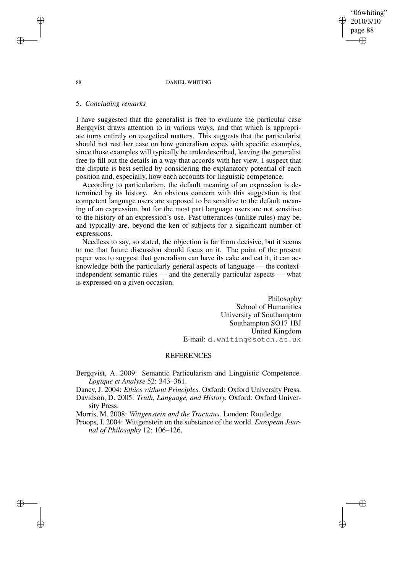88 DANIEL WHITING

# 5. *Concluding remarks*

I have suggested that the generalist is free to evaluate the particular case Bergqvist draws attention to in various ways, and that which is appropriate turns entirely on exegetical matters. This suggests that the particularist should not rest her case on how generalism copes with specific examples, since those examples will typically be underdescribed, leaving the generalist free to fill out the details in a way that accords with her view. I suspect that the dispute is best settled by considering the explanatory potential of each position and, especially, how each accounts for linguistic competence.

According to particularism, the default meaning of an expression is determined by its history. An obvious concern with this suggestion is that competent language users are supposed to be sensitive to the default meaning of an expression, but for the most part language users are not sensitive to the history of an expression's use. Past utterances (unlike rules) may be, and typically are, beyond the ken of subjects for a significant number of expressions.

Needless to say, so stated, the objection is far from decisive, but it seems to me that future discussion should focus on it. The point of the present paper was to suggest that generalism can have its cake and eat it; it can acknowledge both the particularly general aspects of language — the contextindependent semantic rules — and the generally particular aspects — what is expressed on a given occasion.

> Philosophy School of Humanities University of Southampton Southampton SO17 1BJ United Kingdom E-mail: d.whiting@soton.ac.uk

"06whiting" 2010/3/10 page 88

✐

✐

✐

✐

### **REFERENCES**

Bergqvist, A. 2009: Semantic Particularism and Linguistic Competence. *Logique et Analyse* 52: 343–361.

Dancy, J. 2004: *Ethics without Principles.* Oxford: Oxford University Press. Davidson, D. 2005: *Truth, Language, and History.* Oxford: Oxford University Press.

Morris, M. 2008: *Wittgenstein and the Tractatus.* London: Routledge.

Proops, I. 2004: Wittgenstein on the substance of the world. *European Journal of Philosophy* 12: 106–126.

✐

✐

✐